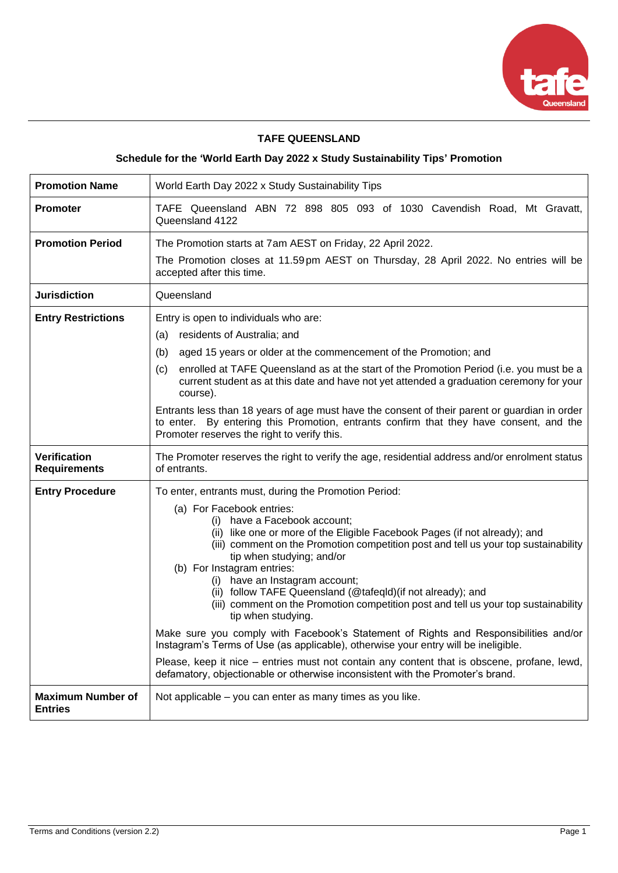

## **TAFE QUEENSLAND**

# **Schedule for the 'World Earth Day 2022 x Study Sustainability Tips' Promotion**

| <b>Promotion Name</b>                      | World Earth Day 2022 x Study Sustainability Tips                                                                                                                                                                                                                                                                                                                                                                                                                                                                                                                                                                                                                                                                                                                                                                                                                                                                                 |  |  |
|--------------------------------------------|----------------------------------------------------------------------------------------------------------------------------------------------------------------------------------------------------------------------------------------------------------------------------------------------------------------------------------------------------------------------------------------------------------------------------------------------------------------------------------------------------------------------------------------------------------------------------------------------------------------------------------------------------------------------------------------------------------------------------------------------------------------------------------------------------------------------------------------------------------------------------------------------------------------------------------|--|--|
| <b>Promoter</b>                            | TAFE Queensland ABN 72 898 805 093 of 1030 Cavendish Road, Mt Gravatt,<br>Queensland 4122                                                                                                                                                                                                                                                                                                                                                                                                                                                                                                                                                                                                                                                                                                                                                                                                                                        |  |  |
| <b>Promotion Period</b>                    | The Promotion starts at 7am AEST on Friday, 22 April 2022.<br>The Promotion closes at 11.59pm AEST on Thursday, 28 April 2022. No entries will be<br>accepted after this time.                                                                                                                                                                                                                                                                                                                                                                                                                                                                                                                                                                                                                                                                                                                                                   |  |  |
| <b>Jurisdiction</b>                        | Queensland                                                                                                                                                                                                                                                                                                                                                                                                                                                                                                                                                                                                                                                                                                                                                                                                                                                                                                                       |  |  |
| <b>Entry Restrictions</b>                  | Entry is open to individuals who are:<br>residents of Australia; and<br>(a)<br>aged 15 years or older at the commencement of the Promotion; and<br>(b)<br>enrolled at TAFE Queensland as at the start of the Promotion Period (i.e. you must be a<br>(c)<br>current student as at this date and have not yet attended a graduation ceremony for your<br>course).<br>Entrants less than 18 years of age must have the consent of their parent or guardian in order<br>to enter. By entering this Promotion, entrants confirm that they have consent, and the<br>Promoter reserves the right to verify this.                                                                                                                                                                                                                                                                                                                       |  |  |
|                                            | The Promoter reserves the right to verify the age, residential address and/or enrolment status<br>of entrants.                                                                                                                                                                                                                                                                                                                                                                                                                                                                                                                                                                                                                                                                                                                                                                                                                   |  |  |
| <b>Verification</b><br><b>Requirements</b> |                                                                                                                                                                                                                                                                                                                                                                                                                                                                                                                                                                                                                                                                                                                                                                                                                                                                                                                                  |  |  |
| <b>Entry Procedure</b>                     | To enter, entrants must, during the Promotion Period:<br>(a) For Facebook entries:<br>(i) have a Facebook account;<br>(ii) like one or more of the Eligible Facebook Pages (if not already); and<br>(iii) comment on the Promotion competition post and tell us your top sustainability<br>tip when studying; and/or<br>(b) For Instagram entries:<br>(i) have an Instagram account;<br>(ii) follow TAFE Queensland (@tafeqld) (if not already); and<br>(iii) comment on the Promotion competition post and tell us your top sustainability<br>tip when studying.<br>Make sure you comply with Facebook's Statement of Rights and Responsibilities and/or<br>Instagram's Terms of Use (as applicable), otherwise your entry will be ineligible.<br>Please, keep it nice – entries must not contain any content that is obscene, profane, lewd,<br>defamatory, objectionable or otherwise inconsistent with the Promoter's brand. |  |  |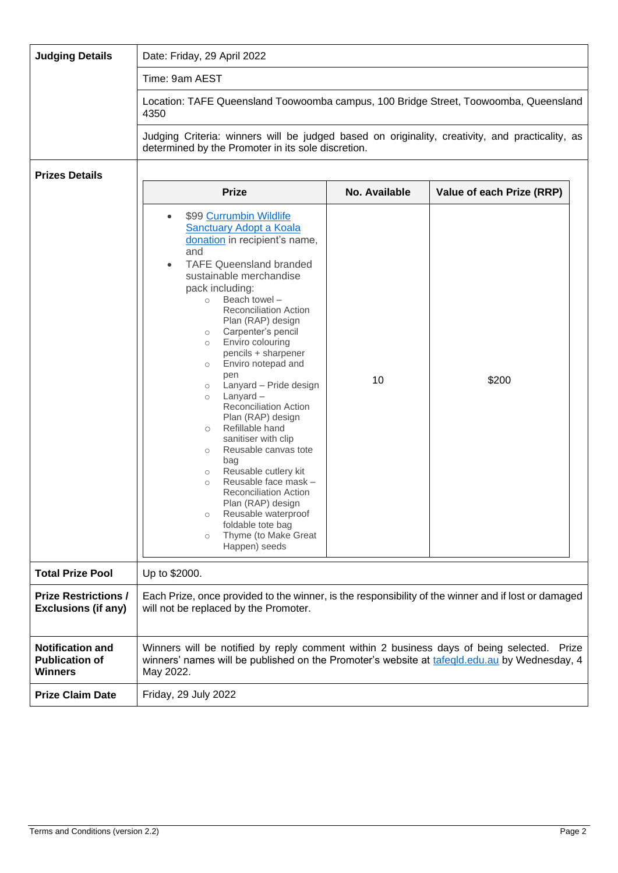| <b>Judging Details</b>                                             | Date: Friday, 29 April 2022                                                                                                                                                                                                                                                                                                                                                                                                                                                                                                                                                                                                                                                                                                                                                                                                                                                      |               |                           |  |
|--------------------------------------------------------------------|----------------------------------------------------------------------------------------------------------------------------------------------------------------------------------------------------------------------------------------------------------------------------------------------------------------------------------------------------------------------------------------------------------------------------------------------------------------------------------------------------------------------------------------------------------------------------------------------------------------------------------------------------------------------------------------------------------------------------------------------------------------------------------------------------------------------------------------------------------------------------------|---------------|---------------------------|--|
|                                                                    | Time: 9am AEST                                                                                                                                                                                                                                                                                                                                                                                                                                                                                                                                                                                                                                                                                                                                                                                                                                                                   |               |                           |  |
|                                                                    | Location: TAFE Queensland Toowoomba campus, 100 Bridge Street, Toowoomba, Queensland<br>4350                                                                                                                                                                                                                                                                                                                                                                                                                                                                                                                                                                                                                                                                                                                                                                                     |               |                           |  |
|                                                                    | Judging Criteria: winners will be judged based on originality, creativity, and practicality, as<br>determined by the Promoter in its sole discretion.                                                                                                                                                                                                                                                                                                                                                                                                                                                                                                                                                                                                                                                                                                                            |               |                           |  |
| <b>Prizes Details</b>                                              |                                                                                                                                                                                                                                                                                                                                                                                                                                                                                                                                                                                                                                                                                                                                                                                                                                                                                  |               |                           |  |
|                                                                    | <b>Prize</b>                                                                                                                                                                                                                                                                                                                                                                                                                                                                                                                                                                                                                                                                                                                                                                                                                                                                     | No. Available | Value of each Prize (RRP) |  |
|                                                                    | \$99 Currumbin Wildlife<br>$\bullet$<br><b>Sanctuary Adopt a Koala</b><br>donation in recipient's name,<br>and<br><b>TAFE Queensland branded</b><br>$\bullet$<br>sustainable merchandise<br>pack including:<br>Beach towel -<br>$\circ$<br>Reconciliation Action<br>Plan (RAP) design<br>Carpenter's pencil<br>$\circ$<br>Enviro colouring<br>$\circ$<br>pencils + sharpener<br>Enviro notepad and<br>$\circ$<br>pen<br>Lanyard - Pride design<br>$\circ$<br>$L$ anyard $-$<br>$\circ$<br><b>Reconciliation Action</b><br>Plan (RAP) design<br>Refillable hand<br>$\circ$<br>sanitiser with clip<br>Reusable canvas tote<br>$\circ$<br>bag<br>Reusable cutlery kit<br>$\circ$<br>Reusable face mask -<br>$\circ$<br><b>Reconciliation Action</b><br>Plan (RAP) design<br>Reusable waterproof<br>$\circ$<br>foldable tote bag<br>Thyme (to Make Great<br>$\circ$<br>Happen) seeds | 10            | \$200                     |  |
| <b>Total Prize Pool</b>                                            | Up to \$2000.                                                                                                                                                                                                                                                                                                                                                                                                                                                                                                                                                                                                                                                                                                                                                                                                                                                                    |               |                           |  |
| <b>Prize Restrictions /</b><br><b>Exclusions (if any)</b>          | Each Prize, once provided to the winner, is the responsibility of the winner and if lost or damaged<br>will not be replaced by the Promoter.                                                                                                                                                                                                                                                                                                                                                                                                                                                                                                                                                                                                                                                                                                                                     |               |                           |  |
| <b>Notification and</b><br><b>Publication of</b><br><b>Winners</b> | Winners will be notified by reply comment within 2 business days of being selected. Prize<br>winners' names will be published on the Promoter's website at tafegld.edu.au by Wednesday, 4<br>May 2022.                                                                                                                                                                                                                                                                                                                                                                                                                                                                                                                                                                                                                                                                           |               |                           |  |
| <b>Prize Claim Date</b>                                            | Friday, 29 July 2022                                                                                                                                                                                                                                                                                                                                                                                                                                                                                                                                                                                                                                                                                                                                                                                                                                                             |               |                           |  |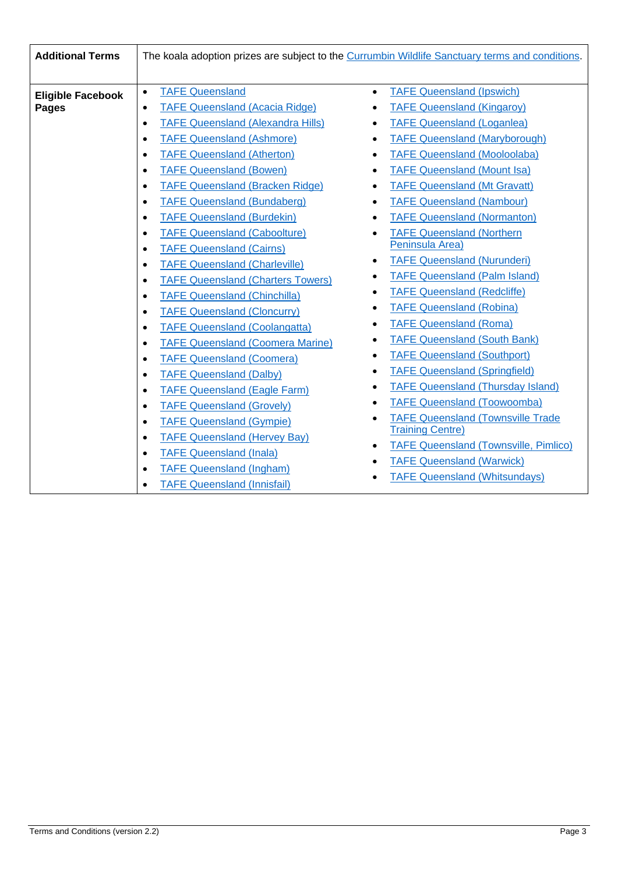| <b>Additional Terms</b>  | The koala adoption prizes are subject to the Currumbin Wildlife Sanctuary terms and conditions. |                                                           |  |  |
|--------------------------|-------------------------------------------------------------------------------------------------|-----------------------------------------------------------|--|--|
|                          |                                                                                                 |                                                           |  |  |
| <b>Eligible Facebook</b> | <b>TAFE Queensland</b><br>$\bullet$                                                             | <b>TAFE Queensland (Ipswich)</b><br>$\bullet$             |  |  |
| <b>Pages</b>             | <b>TAFE Queensland (Acacia Ridge)</b><br>$\bullet$                                              | <b>TAFE Queensland (Kingaroy)</b><br>$\bullet$            |  |  |
|                          | <b>TAFE Queensland (Alexandra Hills)</b><br>$\bullet$                                           | <b>TAFE Queensland (Loganlea)</b>                         |  |  |
|                          | <b>TAFE Queensland (Ashmore)</b><br>$\bullet$                                                   | <b>TAFE Queensland (Maryborough)</b><br>$\bullet$         |  |  |
|                          | <b>TAFE Queensland (Atherton)</b><br>$\bullet$                                                  | <b>TAFE Queensland (Mooloolaba)</b><br>$\bullet$          |  |  |
|                          | <b>TAFE Queensland (Bowen)</b><br>$\bullet$                                                     | <b>TAFE Queensland (Mount Isa)</b>                        |  |  |
|                          | <b>TAFE Queensland (Bracken Ridge)</b><br>$\bullet$                                             | <b>TAFE Queensland (Mt Gravatt)</b><br>$\bullet$          |  |  |
|                          | <b>TAFE Queensland (Bundaberg)</b><br>$\bullet$                                                 | <b>TAFE Queensland (Nambour)</b><br>$\bullet$             |  |  |
|                          | <b>TAFE Queensland (Burdekin)</b><br>$\bullet$                                                  | <b>TAFE Queensland (Normanton)</b>                        |  |  |
|                          | <b>TAFE Queensland (Caboolture)</b><br>$\bullet$                                                | <b>TAFE Queensland (Northern</b><br>$\bullet$             |  |  |
|                          | <b>TAFE Queensland (Cairns)</b><br>$\bullet$                                                    | Peninsula Area)                                           |  |  |
|                          | <b>TAFE Queensland (Charleville)</b><br>$\bullet$                                               | <b>TAFE Queensland (Nurunderi)</b>                        |  |  |
|                          | <b>TAFE Queensland (Charters Towers)</b><br>$\bullet$                                           | <b>TAFE Queensland (Palm Island)</b>                      |  |  |
|                          | <b>TAFE Queensland (Chinchilla)</b><br>$\bullet$                                                | <b>TAFE Queensland (Redcliffe)</b><br>$\bullet$           |  |  |
|                          | <b>TAFE Queensland (Cloncurry)</b><br>$\bullet$                                                 | <b>TAFE Queensland (Robina)</b>                           |  |  |
|                          | <b>TAFE Queensland (Coolangatta)</b><br>$\bullet$                                               | <b>TAFE Queensland (Roma)</b>                             |  |  |
|                          | <b>TAFE Queensland (Coomera Marine)</b><br>$\bullet$                                            | <b>TAFE Queensland (South Bank)</b>                       |  |  |
|                          | <b>TAFE Queensland (Coomera)</b><br>$\bullet$                                                   | <b>TAFE Queensland (Southport)</b>                        |  |  |
|                          | <b>TAFE Queensland (Dalby)</b><br>$\bullet$                                                     | <b>TAFE Queensland (Springfield)</b>                      |  |  |
|                          | <b>TAFE Queensland (Eagle Farm)</b><br>$\bullet$                                                | <b>TAFE Queensland (Thursday Island)</b><br>$\bullet$     |  |  |
|                          | <b>TAFE Queensland (Grovely)</b><br>$\bullet$                                                   | <b>TAFE Queensland (Toowoomba)</b>                        |  |  |
|                          | <b>TAFE Queensland (Gympie)</b><br>$\bullet$                                                    | <b>TAFE Queensland (Townsville Trade</b>                  |  |  |
|                          | <b>TAFE Queensland (Hervey Bay)</b><br>$\bullet$                                                | <b>Training Centre)</b>                                   |  |  |
|                          | <b>TAFE Queensland (Inala)</b><br>$\bullet$                                                     | <b>TAFE Queensland (Townsville, Pimlico)</b><br>$\bullet$ |  |  |
|                          | <b>TAFE Queensland (Ingham)</b><br>$\bullet$                                                    | <b>TAFE Queensland (Warwick)</b>                          |  |  |
|                          | <b>TAFE Queensland (Innisfail)</b><br>$\bullet$                                                 | <b>TAFE Queensland (Whitsundays)</b><br>٠                 |  |  |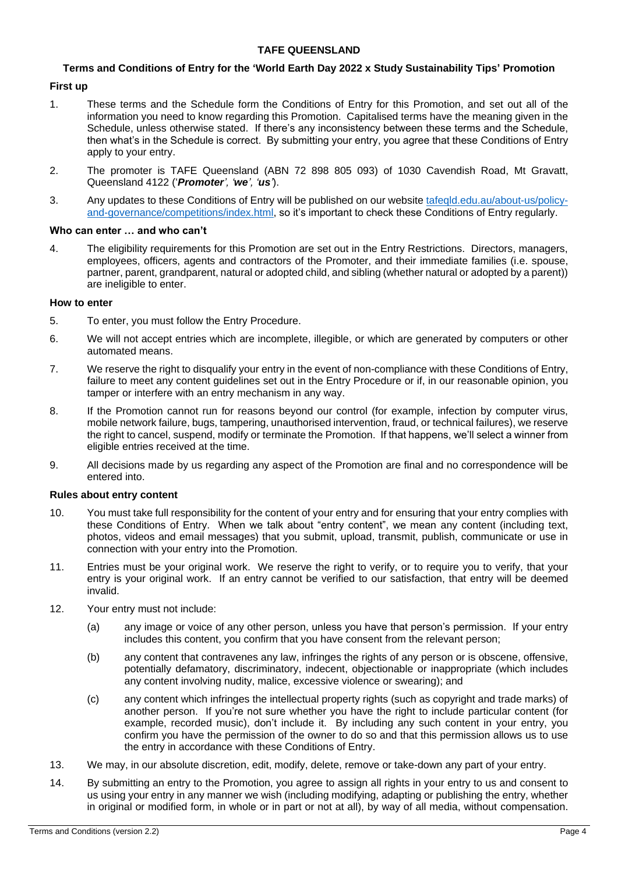### **TAFE QUEENSLAND**

# **Terms and Conditions of Entry for the 'World Earth Day 2022 x Study Sustainability Tips' Promotion**

## **First up**

- 1. These terms and the Schedule form the Conditions of Entry for this Promotion, and set out all of the information you need to know regarding this Promotion. Capitalised terms have the meaning given in the Schedule, unless otherwise stated. If there's any inconsistency between these terms and the Schedule, then what's in the Schedule is correct. By submitting your entry, you agree that these Conditions of Entry apply to your entry.
- 2. The promoter is TAFE Queensland (ABN 72 898 805 093) of 1030 Cavendish Road, Mt Gravatt, Queensland 4122 ('*Promoter', 'we', 'us'*).
- 3. Any updates to these Conditions of Entry will be published on our website [tafeqld.edu.au/about-us/policy](https://tafeqld.edu.au/about-us/policy-and-governance/competitions/index.html)[and-governance/competitions/index.html,](https://tafeqld.edu.au/about-us/policy-and-governance/competitions/index.html) so it's important to check these Conditions of Entry regularly.

#### **Who can enter … and who can't**

4. The eligibility requirements for this Promotion are set out in the Entry Restrictions. Directors, managers, employees, officers, agents and contractors of the Promoter, and their immediate families (i.e. spouse, partner, parent, grandparent, natural or adopted child, and sibling (whether natural or adopted by a parent)) are ineligible to enter.

#### **How to enter**

- 5. To enter, you must follow the Entry Procedure.
- 6. We will not accept entries which are incomplete, illegible, or which are generated by computers or other automated means.
- 7. We reserve the right to disqualify your entry in the event of non-compliance with these Conditions of Entry, failure to meet any content guidelines set out in the Entry Procedure or if, in our reasonable opinion, you tamper or interfere with an entry mechanism in any way.
- 8. If the Promotion cannot run for reasons beyond our control (for example, infection by computer virus, mobile network failure, bugs, tampering, unauthorised intervention, fraud, or technical failures), we reserve the right to cancel, suspend, modify or terminate the Promotion. If that happens, we'll select a winner from eligible entries received at the time.
- 9. All decisions made by us regarding any aspect of the Promotion are final and no correspondence will be entered into.

## **Rules about entry content**

- 10. You must take full responsibility for the content of your entry and for ensuring that your entry complies with these Conditions of Entry. When we talk about "entry content", we mean any content (including text, photos, videos and email messages) that you submit, upload, transmit, publish, communicate or use in connection with your entry into the Promotion.
- 11. Entries must be your original work. We reserve the right to verify, or to require you to verify, that your entry is your original work. If an entry cannot be verified to our satisfaction, that entry will be deemed invalid.
- 12. Your entry must not include:
	- (a) any image or voice of any other person, unless you have that person's permission. If your entry includes this content, you confirm that you have consent from the relevant person;
	- (b) any content that contravenes any law, infringes the rights of any person or is obscene, offensive, potentially defamatory, discriminatory, indecent, objectionable or inappropriate (which includes any content involving nudity, malice, excessive violence or swearing); and
	- (c) any content which infringes the intellectual property rights (such as copyright and trade marks) of another person. If you're not sure whether you have the right to include particular content (for example, recorded music), don't include it. By including any such content in your entry, you confirm you have the permission of the owner to do so and that this permission allows us to use the entry in accordance with these Conditions of Entry.
- 13. We may, in our absolute discretion, edit, modify, delete, remove or take-down any part of your entry.
- 14. By submitting an entry to the Promotion, you agree to assign all rights in your entry to us and consent to us using your entry in any manner we wish (including modifying, adapting or publishing the entry, whether in original or modified form, in whole or in part or not at all), by way of all media, without compensation.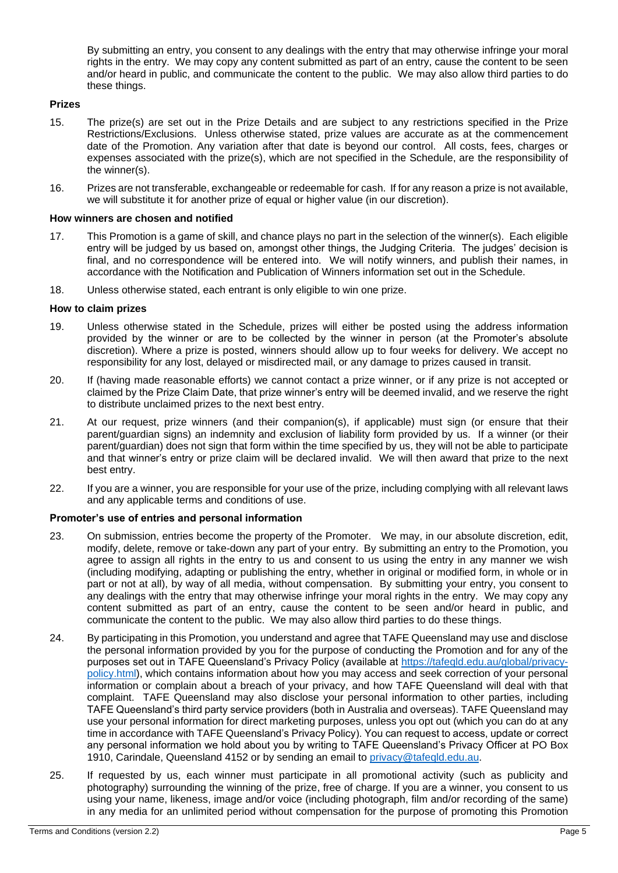By submitting an entry, you consent to any dealings with the entry that may otherwise infringe your moral rights in the entry. We may copy any content submitted as part of an entry, cause the content to be seen and/or heard in public, and communicate the content to the public. We may also allow third parties to do these things.

### **Prizes**

- 15. The prize(s) are set out in the Prize Details and are subject to any restrictions specified in the Prize Restrictions/Exclusions. Unless otherwise stated, prize values are accurate as at the commencement date of the Promotion. Any variation after that date is beyond our control. All costs, fees, charges or expenses associated with the prize(s), which are not specified in the Schedule, are the responsibility of the winner(s).
- 16. Prizes are not transferable, exchangeable or redeemable for cash. If for any reason a prize is not available, we will substitute it for another prize of equal or higher value (in our discretion).

#### **How winners are chosen and notified**

- 17. This Promotion is a game of skill, and chance plays no part in the selection of the winner(s). Each eligible entry will be judged by us based on, amongst other things, the Judging Criteria. The judges' decision is final, and no correspondence will be entered into. We will notify winners, and publish their names, in accordance with the Notification and Publication of Winners information set out in the Schedule.
- 18. Unless otherwise stated, each entrant is only eligible to win one prize.

#### **How to claim prizes**

- 19. Unless otherwise stated in the Schedule, prizes will either be posted using the address information provided by the winner or are to be collected by the winner in person (at the Promoter's absolute discretion). Where a prize is posted, winners should allow up to four weeks for delivery. We accept no responsibility for any lost, delayed or misdirected mail, or any damage to prizes caused in transit.
- 20. If (having made reasonable efforts) we cannot contact a prize winner, or if any prize is not accepted or claimed by the Prize Claim Date, that prize winner's entry will be deemed invalid, and we reserve the right to distribute unclaimed prizes to the next best entry.
- 21. At our request, prize winners (and their companion(s), if applicable) must sign (or ensure that their parent/guardian signs) an indemnity and exclusion of liability form provided by us. If a winner (or their parent/guardian) does not sign that form within the time specified by us, they will not be able to participate and that winner's entry or prize claim will be declared invalid. We will then award that prize to the next best entry.
- 22. If you are a winner, you are responsible for your use of the prize, including complying with all relevant laws and any applicable terms and conditions of use.

## **Promoter's use of entries and personal information**

- 23. On submission, entries become the property of the Promoter. We may, in our absolute discretion, edit, modify, delete, remove or take-down any part of your entry. By submitting an entry to the Promotion, you agree to assign all rights in the entry to us and consent to us using the entry in any manner we wish (including modifying, adapting or publishing the entry, whether in original or modified form, in whole or in part or not at all), by way of all media, without compensation. By submitting your entry, you consent to any dealings with the entry that may otherwise infringe your moral rights in the entry. We may copy any content submitted as part of an entry, cause the content to be seen and/or heard in public, and communicate the content to the public. We may also allow third parties to do these things.
- 24. By participating in this Promotion, you understand and agree that TAFE Queensland may use and disclose the personal information provided by you for the purpose of conducting the Promotion and for any of the purposes set out in TAFE Queensland's Privacy Policy (available at [https://tafeqld.edu.au/global/privacy](https://tafeqld.edu.au/global/privacy-policy.html)[policy.html\)](https://tafeqld.edu.au/global/privacy-policy.html), which contains information about how you may access and seek correction of your personal information or complain about a breach of your privacy, and how TAFE Queensland will deal with that complaint. TAFE Queensland may also disclose your personal information to other parties, including TAFE Queensland's third party service providers (both in Australia and overseas). TAFE Queensland may use your personal information for direct marketing purposes, unless you opt out (which you can do at any time in accordance with TAFE Queensland's Privacy Policy). You can request to access, update or correct any personal information we hold about you by writing to TAFE Queensland's Privacy Officer at PO Box 1910, Carindale, Queensland 4152 or by sending an email to [privacy@tafeqld.edu.au.](mailto:privacy@tafeqld.edu.au)
- 25. If requested by us, each winner must participate in all promotional activity (such as publicity and photography) surrounding the winning of the prize, free of charge. If you are a winner, you consent to us using your name, likeness, image and/or voice (including photograph, film and/or recording of the same) in any media for an unlimited period without compensation for the purpose of promoting this Promotion